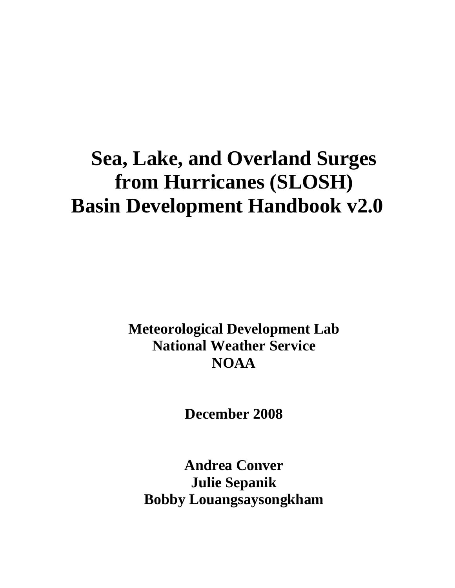# **Sea, Lake, and Overland Surges from Hurricanes (SLOSH) Basin Development Handbook v2.0**

**Meteorological Development Lab National Weather Service NOAA** 

**December 2008** 

**Andrea Conver Julie Sepanik Bobby Louangsaysongkham**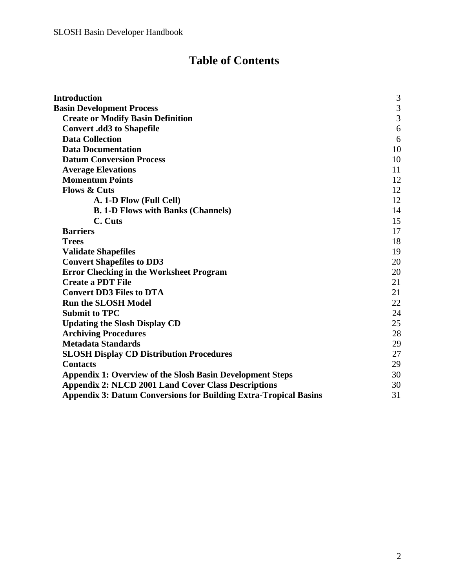# **Table of Contents**

| <b>Introduction</b>                                                     | $\mathfrak{Z}$ |
|-------------------------------------------------------------------------|----------------|
| <b>Basin Development Process</b>                                        | $\mathfrak{Z}$ |
| <b>Create or Modify Basin Definition</b>                                | $\overline{3}$ |
| <b>Convert .dd3 to Shapefile</b>                                        | 6              |
| <b>Data Collection</b>                                                  | 6              |
| <b>Data Documentation</b>                                               | 10             |
| <b>Datum Conversion Process</b>                                         | 10             |
| <b>Average Elevations</b>                                               | 11             |
| <b>Momentum Points</b>                                                  | 12             |
| <b>Flows &amp; Cuts</b>                                                 | 12             |
| A. 1-D Flow (Full Cell)                                                 | 12             |
| <b>B. 1-D Flows with Banks (Channels)</b>                               | 14             |
| C. Cuts                                                                 | 15             |
| <b>Barriers</b>                                                         | 17             |
| <b>Trees</b>                                                            | 18             |
| <b>Validate Shapefiles</b>                                              | 19             |
| <b>Convert Shapefiles to DD3</b>                                        | 20             |
| <b>Error Checking in the Worksheet Program</b>                          | 20             |
| <b>Create a PDT File</b>                                                | 21             |
| <b>Convert DD3 Files to DTA</b>                                         | 21             |
| <b>Run the SLOSH Model</b>                                              | 22             |
| <b>Submit to TPC</b>                                                    | 24             |
| <b>Updating the Slosh Display CD</b>                                    | 25             |
| <b>Archiving Procedures</b>                                             | 28             |
| <b>Metadata Standards</b>                                               | 29             |
| <b>SLOSH Display CD Distribution Procedures</b>                         | 27             |
| <b>Contacts</b>                                                         | 29             |
| <b>Appendix 1: Overview of the Slosh Basin Development Steps</b>        | 30             |
| <b>Appendix 2: NLCD 2001 Land Cover Class Descriptions</b>              | 30             |
| <b>Appendix 3: Datum Conversions for Building Extra-Tropical Basins</b> | 31             |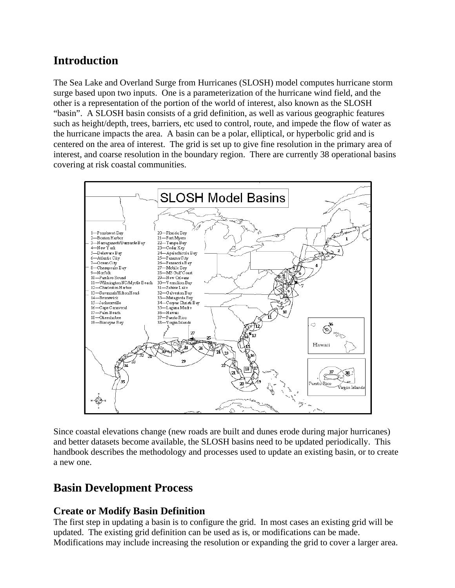# <span id="page-2-0"></span>**Introduction**

The Sea Lake and Overland Surge from Hurricanes (SLOSH) model computes hurricane storm surge based upon two inputs. One is a parameterization of the hurricane wind field, and the other is a representation of the portion of the world of interest, also known as the SLOSH "basin". A SLOSH basin consists of a grid definition, as well as various geographic features such as height/depth, trees, barriers, etc used to control, route, and impede the flow of water as the hurricane impacts the area. A basin can be a polar, elliptical, or hyperbolic grid and is centered on the area of interest. The grid is set up to give fine resolution in the primary area of interest, and coarse resolution in the boundary region. There are currently 38 operational basins covering at risk coastal communities.



Since coastal elevations change (new roads are built and dunes erode during major hurricanes) and better datasets become available, the SLOSH basins need to be updated periodically. This handbook describes the methodology and processes used to update an existing basin, or to create a new one.

# **Basin Development Process**

# **Create or Modify Basin Definition**

The first step in updating a basin is to configure the grid. In most cases an existing grid will be updated. The existing grid definition can be used as is, or modifications can be made. Modifications may include increasing the resolution or expanding the grid to cover a larger area.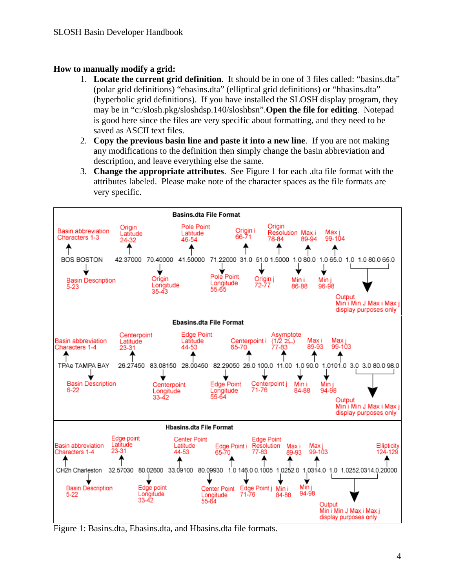#### **How to manually modify a grid:**

- 1. **Locate the current grid definition**. It should be in one of 3 files called: "basins.dta" (polar grid definitions) "ebasins.dta" (elliptical grid definitions) or "hbasins.dta" (hyperbolic grid definitions). If you have installed the SLOSH display program, they may be in "c:/slosh.pkg/sloshdsp.140/sloshbsn".**Open the file for editing**. Notepad is good here since the files are very specific about formatting, and they need to be saved as ASCII text files.
- 2. **Copy the previous basin line and paste it into a new line**. If you are not making any modifications to the definition then simply change the basin abbreviation and description, and leave everything else the same.
- 3. **Change the appropriate attributes**. See Figure 1 for each .dta file format with the attributes labeled. Please make note of the character spaces as the file formats are very specific.



Figure 1: Basins.dta, Ebasins.dta, and Hbasins.dta file formats.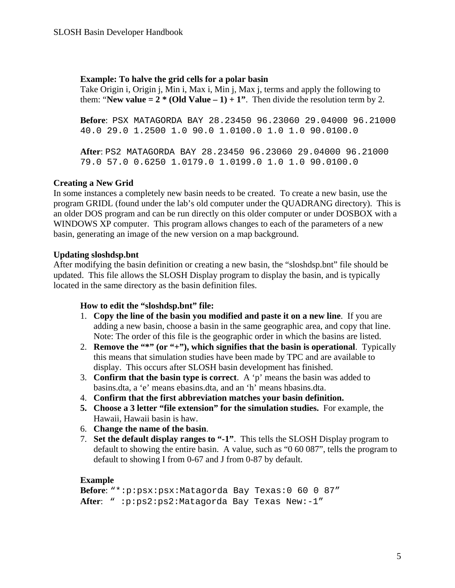#### **Example: To halve the grid cells for a polar basin**

Take Origin i, Origin j, Min i, Max i, Min j, Max j, terms and apply the following to them: "**New value = 2** \* (Old Value  $-1$ ) + 1". Then divide the resolution term by 2.

**Before**: PSX MATAGORDA BAY 28.23450 96.23060 29.04000 96.21000 40.0 29.0 1.2500 1.0 90.0 1.0100.0 1.0 1.0 90.0100.0

**After**: PS2 MATAGORDA BAY 28.23450 96.23060 29.04000 96.21000 79.0 57.0 0.6250 1.0179.0 1.0199.0 1.0 1.0 90.0100.0

#### **Creating a New Grid**

In some instances a completely new basin needs to be created. To create a new basin, use the program GRIDL (found under the lab's old computer under the QUADRANG directory). This is an older DOS program and can be run directly on this older computer or under DOSBOX with a WINDOWS XP computer. This program allows changes to each of the parameters of a new basin, generating an image of the new version on a map background.

#### **Updating sloshdsp.bnt**

After modifying the basin definition or creating a new basin, the "sloshdsp.bnt" file should be updated. This file allows the SLOSH Display program to display the basin, and is typically located in the same directory as the basin definition files.

#### **How to edit the "sloshdsp.bnt" file:**

- 1. **Copy the line of the basin you modified and paste it on a new line**. If you are adding a new basin, choose a basin in the same geographic area, and copy that line. Note: The order of this file is the geographic order in which the basins are listed.
- 2. **Remove the "\*" (or "+"), which signifies that the basin is operational**. Typically this means that simulation studies have been made by TPC and are available to display. This occurs after SLOSH basin development has finished.
- 3. **Confirm that the basin type is correct**. A 'p' means the basin was added to basins.dta, a 'e' means ebasins.dta, and an 'h' means hbasins.dta.
- 4. **Confirm that the first abbreviation matches your basin definition.**
- **5. Choose a 3 letter "file extension" for the simulation studies.** For example, the Hawaii, Hawaii basin is haw.
- 6. **Change the name of the basin**.
- 7. **Set the default display ranges to "-1"**. This tells the SLOSH Display program to default to showing the entire basin. A value, such as "0 60 087", tells the program to default to showing I from 0-67 and J from 0-87 by default.

#### **Example**

```
Before: "*:p:psx:psx:Matagorda Bay Texas:0 60 0 87"
After: " :p:ps2:ps2:Matagorda Bay Texas New:-1"
```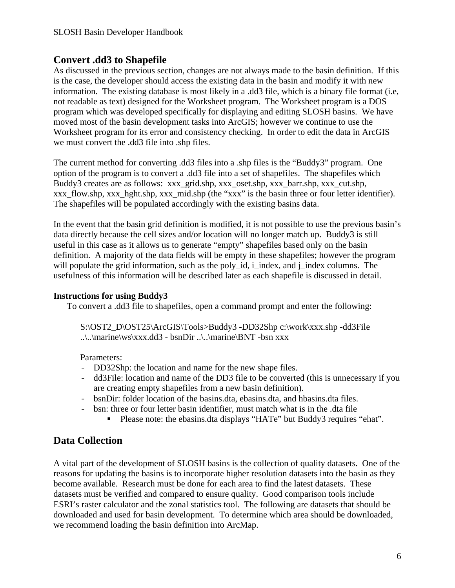# <span id="page-5-0"></span>**Convert .dd3 to Shapefile**

As discussed in the previous section, changes are not always made to the basin definition. If this is the case, the developer should access the existing data in the basin and modify it with new information. The existing database is most likely in a .dd3 file, which is a binary file format (i.e, not readable as text) designed for the Worksheet program. The Worksheet program is a DOS program which was developed specifically for displaying and editing SLOSH basins. We have moved most of the basin development tasks into ArcGIS; however we continue to use the Worksheet program for its error and consistency checking. In order to edit the data in ArcGIS we must convert the .dd3 file into .shp files.

The current method for converting .dd3 files into a .shp files is the "Buddy3" program. One option of the program is to convert a .dd3 file into a set of shapefiles. The shapefiles which Buddy3 creates are as follows: xxx\_grid.shp, xxx\_oset.shp, xxx\_barr.shp, xxx\_cut.shp, xxx flow.shp, xxx hght.shp, xxx mid.shp (the "xxx" is the basin three or four letter identifier). The shapefiles will be populated accordingly with the existing basins data.

In the event that the basin grid definition is modified, it is not possible to use the previous basin's data directly because the cell sizes and/or location will no longer match up. Buddy3 is still useful in this case as it allows us to generate "empty" shapefiles based only on the basin definition. A majority of the data fields will be empty in these shapefiles; however the program will populate the grid information, such as the poly id, i\_index, and j\_index columns. The usefulness of this information will be described later as each shapefile is discussed in detail.

#### **Instructions for using Buddy3**

To convert a .dd3 file to shapefiles, open a command prompt and enter the following:

S:\OST2\_D\OST25\ArcGIS\Tools>Buddy3 -DD32Shp c:\work\xxx.shp -dd3File  $\ldots$ ..\..\marine\ws\xxx.dd3 - bsnDir ..\..\marine\BNT -bsn xxx

Parameters:

- DD32Shp: the location and name for the new shape files.
- dd3File: location and name of the DD3 file to be converted (this is unnecessary if you are creating empty shapefiles from a new basin definition).
- bsnDir: folder location of the basins.dta, ebasins.dta, and hbasins.dta files.
- bsn: three or four letter basin identifier, must match what is in the .dta file
	- Please note: the ebasins.dta displays "HATe" but Buddy3 requires "ehat".

# **Data Collection**

A vital part of the development of SLOSH basins is the collection of quality datasets. One of the reasons for updating the basins is to incorporate higher resolution datasets into the basin as they become available. Research must be done for each area to find the latest datasets. These datasets must be verified and compared to ensure quality. Good comparison tools include ESRI's raster calculator and the zonal statistics tool. The following are datasets that should be downloaded and used for basin development. To determine which area should be downloaded, we recommend loading the basin definition into ArcMap.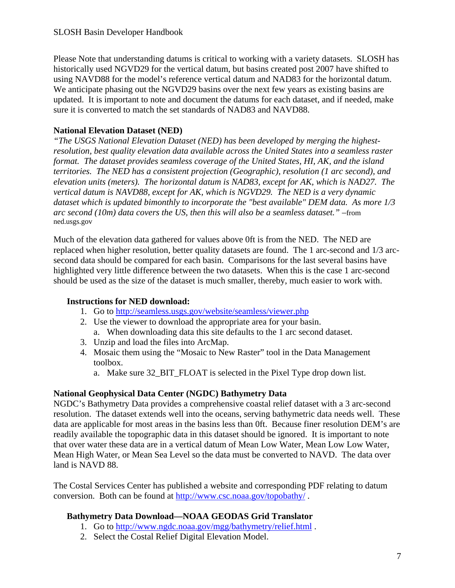Please Note that understanding datums is critical to working with a variety datasets. SLOSH has historically used NGVD29 for the vertical datum, but basins created post 2007 have shifted to using NAVD88 for the model's reference vertical datum and NAD83 for the horizontal datum. We anticipate phasing out the NGVD29 basins over the next few years as existing basins are updated. It is important to note and document the datums for each dataset, and if needed, make sure it is converted to match the set standards of NAD83 and NAVD88.

#### **National Elevation Dataset (NED)**

*"The USGS National Elevation Dataset (NED) has been developed by merging the highestresolution, best quality elevation data available across the United States into a seamless raster format. The dataset provides seamless coverage of the United States, HI, AK, and the island territories. The NED has a consistent projection (Geographic), resolution (1 arc second), and elevation units (meters). The horizontal datum is NAD83, except for AK, which is NAD27. The vertical datum is NAVD88, except for AK, which is NGVD29. The NED is a very dynamic dataset which is updated bimonthly to incorporate the "best available" DEM data. As more 1/3 arc second (10m) data covers the US, then this will also be a seamless dataset."* –from ned.usgs.gov

Much of the elevation data gathered for values above 0ft is from the NED. The NED are replaced when higher resolution, better quality datasets are found. The 1 arc-second and 1/3 arcsecond data should be compared for each basin. Comparisons for the last several basins have highlighted very little difference between the two datasets. When this is the case 1 arc-second should be used as the size of the dataset is much smaller, thereby, much easier to work with.

#### **Instructions for NED download:**

- 1. Go to <http://seamless.usgs.gov/website/seamless/viewer.php>
- 2. Use the viewer to download the appropriate area for your basin. a. When downloading data this site defaults to the 1 arc second dataset.
- 3. Unzip and load the files into ArcMap.
- 4. Mosaic them using the "Mosaic to New Raster" tool in the Data Management toolbox.
	- a. Make sure 32 BIT FLOAT is selected in the Pixel Type drop down list.

#### **National Geophysical Data Center (NGDC) Bathymetry Data**

NGDC's Bathymetry Data provides a comprehensive coastal relief dataset with a 3 arc-second resolution. The dataset extends well into the oceans, serving bathymetric data needs well. These data are applicable for most areas in the basins less than 0ft. Because finer resolution DEM's are readily available the topographic data in this dataset should be ignored. It is important to note that over water these data are in a vertical datum of Mean Low Water, Mean Low Low Water, Mean High Water, or Mean Sea Level so the data must be converted to NAVD. The data over land is NAVD 88.

The Costal Services Center has published a website and corresponding PDF relating to datum conversion. Both can be found at <http://www.csc.noaa.gov/topobathy/>.

#### **Bathymetry Data Download—NOAA GEODAS Grid Translator**

- 1. Go to <http://www.ngdc.noaa.gov/mgg/bathymetry/relief.html>.
- 2. Select the Costal Relief Digital Elevation Model.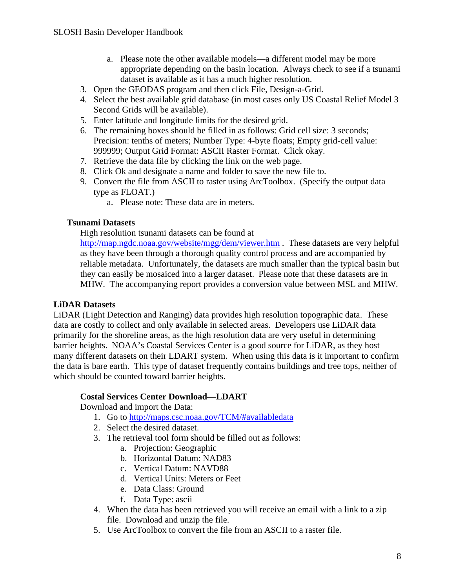- a. Please note the other available models—a different model may be more appropriate depending on the basin location. Always check to see if a tsunami dataset is available as it has a much higher resolution.
- 3. Open the GEODAS program and then click File, Design-a-Grid.
- 4. Select the best available grid database (in most cases only US Coastal Relief Model 3 Second Grids will be available).
- 5. Enter latitude and longitude limits for the desired grid.
- 6. The remaining boxes should be filled in as follows: Grid cell size: 3 seconds; Precision: tenths of meters; Number Type: 4-byte floats; Empty grid-cell value: 999999; Output Grid Format: ASCII Raster Format. Click okay.
- 7. Retrieve the data file by clicking the link on the web page.
- 8. Click Ok and designate a name and folder to save the new file to.
- 9. Convert the file from ASCII to raster using ArcToolbox. (Specify the output data type as FLOAT.)
	- a. Please note: These data are in meters.

#### **Tsunami Datasets**

High resolution tsunami datasets can be found at

<http://map.ngdc.noaa.gov/website/mgg/dem/viewer.htm>. These datasets are very helpful as they have been through a thorough quality control process and are accompanied by reliable metadata. Unfortunately, the datasets are much smaller than the typical basin but they can easily be mosaiced into a larger dataset. Please note that these datasets are in MHW. The accompanying report provides a conversion value between MSL and MHW.

#### **LiDAR Datasets**

LiDAR (Light Detection and Ranging) data provides high resolution topographic data. These data are costly to collect and only available in selected areas. Developers use LiDAR data primarily for the shoreline areas, as the high resolution data are very useful in determining barrier heights. NOAA's Coastal Services Center is a good source for LiDAR, as they host many different datasets on their LDART system. When using this data is it important to confirm the data is bare earth. This type of dataset frequently contains buildings and tree tops, neither of which should be counted toward barrier heights.

#### **Costal Services Center Download—LDART**

Download and import the Data:

- 1. Go to <http://maps.csc.noaa.gov/TCM/#availabledata>
- 2. Select the desired dataset.
- 3. The retrieval tool form should be filled out as follows:
	- a. Projection: Geographic
	- b. Horizontal Datum: NAD83
	- c. Vertical Datum: NAVD88
	- d. Vertical Units: Meters or Feet
	- e. Data Class: Ground
	- f. Data Type: ascii
- 4. When the data has been retrieved you will receive an email with a link to a zip file. Download and unzip the file.
- 5. Use ArcToolbox to convert the file from an ASCII to a raster file.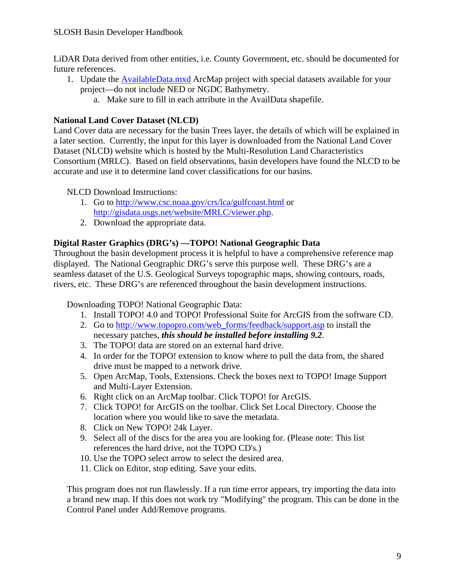LiDAR Data derived from other entities, i.e. County Government, etc. should be documented for future references.

- 1. Update the AvailableData.mxd ArcMap project with special datasets available for your project—do not include NED or NGDC Bathymetry.
	- a. Make sure to fill in each attribute in the AvailData shapefile.

#### **National Land Cover Dataset (NLCD)**

Land Cover data are necessary for the basin Trees layer, the details of which will be explained in a later section. Currently, the input for this layer is downloaded from the National Land Cover Dataset (NLCD) website which is hosted by the Multi-Resolution Land Characteristics Consortium (MRLC). Based on field observations, basin developers have found the NLCD to be accurate and use it to determine land cover classifications for our basins.

NLCD Download Instructions:

- 1. Go to <http://www.csc.noaa.gov/crs/lca/gulfcoast.html>or [http://gisdata.usgs.net/website/MRLC/viewer.php.](http://gisdata.usgs.net/website/MRLC/viewer.php)
- 2. Download the appropriate data.

#### **Digital Raster Graphics (DRG's) —TOPO! National Geographic Data**

Throughout the basin development process it is helpful to have a comprehensive reference map displayed. The National Geographic DRG's serve this purpose well. These DRG's are a seamless dataset of the U.S. Geological Surveys topographic maps, showing contours, roads, rivers, etc. These DRG's are referenced throughout the basin development instructions.

Downloading TOPO! National Geographic Data:

- 1. Install TOPO! 4.0 and TOPO! Professional Suite for ArcGIS from the software CD.
- 2. Go to [http://www.topopro.com/web\\_forms/feedback/support.asp](http://www.topopro.com/web_forms/feedback/support.asp) to install the necessary patches, *this should be installed before installing 9.2*.
- 3. The TOPO! data are stored on an external hard drive.
- 4. In order for the TOPO! extension to know where to pull the data from, the shared drive must be mapped to a network drive.
- 5. Open ArcMap, Tools, Extensions. Check the boxes next to TOPO! Image Support and Multi-Layer Extension.
- 6. Right click on an ArcMap toolbar. Click TOPO! for ArcGIS.
- 7. Click TOPO! for ArcGIS on the toolbar. Click Set Local Directory. Choose the location where you would like to save the metadata.
- 8. Click on New TOPO! 24k Layer.
- 9. Select all of the discs for the area you are looking for. (Please note: This list references the hard drive, not the TOPO CD's.)
- 10. Use the TOPO select arrow to select the desired area.
- 11. Click on Editor, stop editing. Save your edits.

This program does not run flawlessly. If a run time error appears, try importing the data into a brand new map. If this does not work try "Modifying" the program. This can be done in the Control Panel under Add/Remove programs.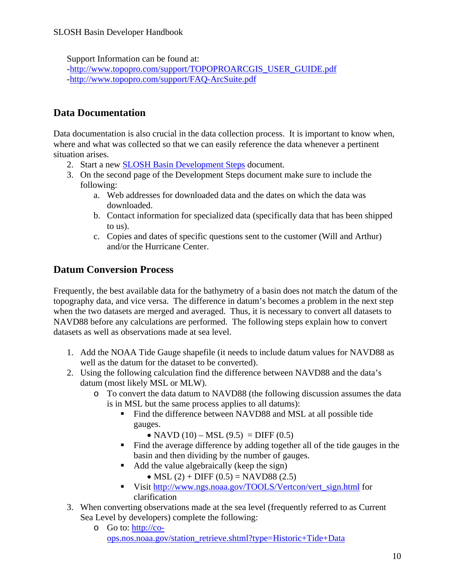<span id="page-9-0"></span>Support Information can be found at:

-[http://www.topopro.com/support/TOPOPROARCGIS\\_USER\\_GUIDE.pdf](http://www.topopro.com/support/TOPOPROARCGIS_USER_GUIDE.pdf) -<http://www.topopro.com/support/FAQ-ArcSuite.pdf>

# **Data Documentation**

Data documentation is also crucial in the data collection process. It is important to know when, where and what was collected so that we can easily reference the data whenever a pertinent situation arises.

- 2. Start a new SLOSH Basin Development Steps document.
- 3. On the second page of the Development Steps document make sure to include the following:
	- a. Web addresses for downloaded data and the dates on which the data was downloaded.
	- b. Contact information for specialized data (specifically data that has been shipped to us).
	- c. Copies and dates of specific questions sent to the customer (Will and Arthur) and/or the Hurricane Center.

# **Datum Conversion Process**

Frequently, the best available data for the bathymetry of a basin does not match the datum of the topography data, and vice versa. The difference in datum's becomes a problem in the next step when the two datasets are merged and averaged. Thus, it is necessary to convert all datasets to NAVD88 before any calculations are performed. The following steps explain how to convert datasets as well as observations made at sea level.

- 1. Add the NOAA Tide Gauge shapefile (it needs to include datum values for NAVD88 as well as the datum for the dataset to be converted).
- 2. Using the following calculation find the difference between NAVD88 and the data's datum (most likely MSL or MLW).
	- o To convert the data datum to NAVD88 (the following discussion assumes the data is in MSL but the same process applies to all datums):
		- Find the difference between NAVD88 and MSL at all possible tide gauges.
			- NAVD  $(10) \text{MSL} (9.5) = \text{DIFF} (0.5)$
		- Find the average difference by adding together all of the tide gauges in the basin and then dividing by the number of gauges.
		- Add the value algebraically (keep the sign)
			- MSL  $(2)$  + DIFF  $(0.5)$  = NAVD88  $(2.5)$
		- Visit [http://www.ngs.noaa.gov/TOOLS/Vertcon/vert\\_sign.html](http://www.ngs.noaa.gov/TOOLS/Vertcon/vert_sign.html) for clarification
- 3. When converting observations made at the sea level (frequently referred to as Current Sea Level by developers) complete the following:
	- o Go to: [http://co](http://co-ops.nos.noaa.gov/station_retrieve.shtml?type=Historic+Tide+Data)[ops.nos.noaa.gov/station\\_retrieve.shtml?type=Historic+Tide+Data](http://co-ops.nos.noaa.gov/station_retrieve.shtml?type=Historic+Tide+Data)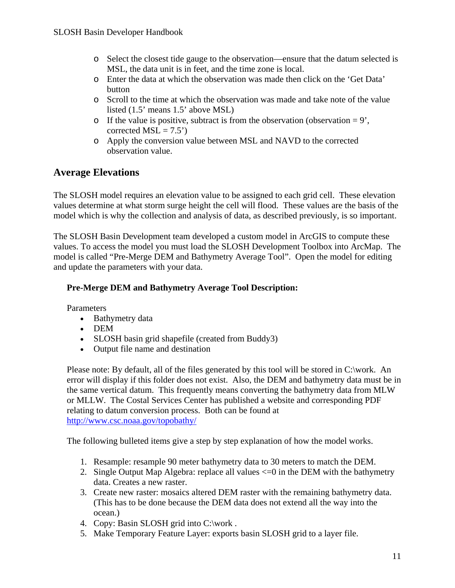- <span id="page-10-0"></span>o Select the closest tide gauge to the observation—ensure that the datum selected is MSL, the data unit is in feet, and the time zone is local.
- o Enter the data at which the observation was made then click on the 'Get Data' button
- o Scroll to the time at which the observation was made and take note of the value listed (1.5' means 1.5' above MSL)
- $\circ$  If the value is positive, subtract is from the observation (observation = 9', corrected  $MSL = 7.5'$ )
- o Apply the conversion value between MSL and NAVD to the corrected observation value.

# **Average Elevations**

The SLOSH model requires an elevation value to be assigned to each grid cell. These elevation values determine at what storm surge height the cell will flood. These values are the basis of the model which is why the collection and analysis of data, as described previously, is so important.

The SLOSH Basin Development team developed a custom model in ArcGIS to compute these values. To access the model you must load the SLOSH Development Toolbox into ArcMap. The model is called ["Pre-Merge DEM and Bathymetry Average Tool](http://aat.nws.noaa.gov/wikit/mywiki/references/50%21)". Open the model for editing and update the parameters with your data.

#### **Pre-Merge DEM and Bathymetry Average Tool Description:**

Parameters

- Bathymetry data
- DEM
- SLOSH basin grid shapefile (created from Buddy3)
- Output file name and destination

Please note: By default, all of the files generated by this tool will be stored in C:\work. An error will display if this folder does not exist. Also, the DEM and bathymetry data must be in the same vertical datum. This frequently means converting the bathymetry data from MLW or MLLW. The Costal Services Center has published a website and corresponding PDF relating to datum conversion process. Both can be found at <http://www.csc.noaa.gov/topobathy/>

The following bulleted items give a step by step explanation of how the model works.

- 1. Resample: resample 90 meter bathymetry data to 30 meters to match the DEM.
- 2. Single Output Map Algebra: replace all values  $\leq$  =0 in the DEM with the bathymetry data. Creates a new raster.
- 3. Create new raster: mosaics altered DEM raster with the remaining bathymetry data. (This has to be done because the DEM data does not extend all the way into the ocean.)
- 4. Copy: Basin SLOSH grid into C:\work.
- 5. Make Temporary Feature Layer: exports basin SLOSH grid to a layer file.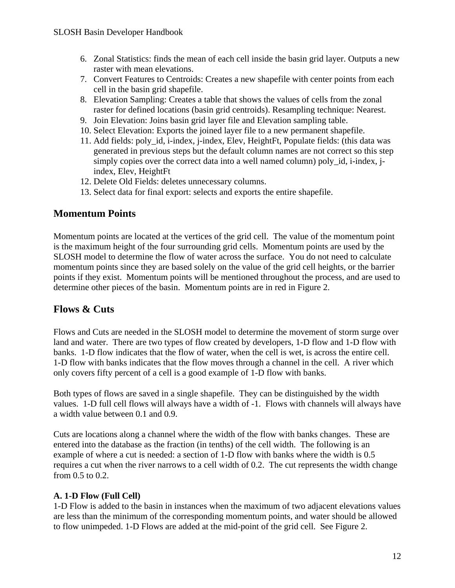- <span id="page-11-0"></span>6. Zonal Statistics: finds the mean of each cell inside the basin grid layer. Outputs a new raster with mean elevations.
- 7. Convert Features to Centroids: Creates a new shapefile with center points from each cell in the basin grid shapefile.
- 8. Elevation Sampling: Creates a table that shows the values of cells from the zonal raster for defined locations (basin grid centroids). Resampling technique: Nearest.
- 9. Join Elevation: Joins basin grid layer file and Elevation sampling table.
- 10. Select Elevation: Exports the joined layer file to a new permanent shapefile.
- 11. Add fields: poly id, i-index, j-index, Elev, HeightFt, Populate fields: (this data was generated in previous steps but the default column names are not correct so this step simply copies over the correct data into a well named column) poly\_id, i-index, jindex, Elev, HeightFt
- 12. Delete Old Fields: deletes unnecessary columns.
- 13. Select data for final export: selects and exports the entire shapefile.

## **Momentum Points**

Momentum points are located at the vertices of the grid cell. The value of the momentum point is the maximum height of the four surrounding grid cells. Momentum points are used by the SLOSH model to determine the flow of water across the surface. You do not need to calculate momentum points since they are based solely on the value of the grid cell heights, or the barrier points if they exist. Momentum points will be mentioned throughout the process, and are used to determine other pieces of the basin. Momentum points are in red in Figure 2.

# **Flows & Cuts**

Flows and Cuts are needed in the SLOSH model to determine the movement of storm surge over land and water. There are two types of flow created by developers, 1-D flow and 1-D flow with banks. 1-D flow indicates that the flow of water, when the cell is wet, is across the entire cell. 1-D flow with banks indicates that the flow moves through a channel in the cell. A river which only covers fifty percent of a cell is a good example of 1-D flow with banks.

Both types of flows are saved in a single shapefile. They can be distinguished by the width values. 1-D full cell flows will always have a width of -1. Flows with channels will always have a width value between 0.1 and 0.9.

Cuts are locations along a channel where the width of the flow with banks changes. These are entered into the database as the fraction (in tenths) of the cell width. The following is an example of where a cut is needed: a section of 1-D flow with banks where the width is 0.5 requires a cut when the river narrows to a cell width of 0.2. The cut represents the width change from 0.5 to 0.2.

#### **A. 1-D Flow (Full Cell)**

1-D Flow is added to the basin in instances when the maximum of two adjacent elevations values are less than the minimum of the corresponding momentum points, and water should be allowed to flow unimpeded. 1-D Flows are added at the mid-point of the grid cell. See Figure 2.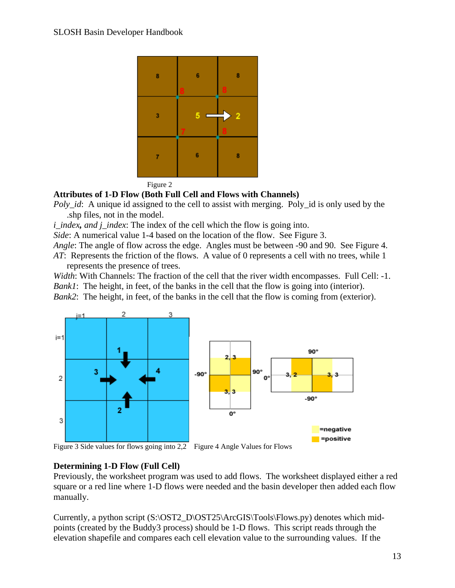



#### **Attributes of 1-D Flow (Both Full Cell and Flows with Channels)**

*Poly\_id*: A unique id assigned to the cell to assist with merging. Poly\_id is only used by the .shp files, not in the model.

*i* index, and *j* index: The index of the cell which the flow is going into.

*Side*: A numerical value 1-4 based on the location of the flow. See Figure 3.

*Angle*: The angle of flow across the edge. Angles must be between -90 and 90. See Figure 4. *AT*: Represents the friction of the flows. A value of 0 represents a cell with no trees, while 1 represents the presence of trees.

*Width*: With Channels: The fraction of the cell that the river width encompasses. Full Cell: -1. *Bank1*: The height, in feet, of the banks in the cell that the flow is going into (interior). *Bank2*: The height, in feet, of the banks in the cell that the flow is coming from (exterior).



Figure 3 Side values for flows going into 2,2 Figure 4 Angle Values for Flows

#### **Determining 1-D Flow (Full Cell)**

Previously, the worksheet program was used to add flows. The worksheet displayed either a red square or a red line where 1-D flows were needed and the basin developer then added each flow manually.

Currently, a python script  $(S:\O{OST2_D\O{S}725\ArcGIS\Tools\Flows.py})$  denotes which midpoints (created by the Buddy3 process) should be 1-D flows. This script reads through the elevation shapefile and compares each cell elevation value to the surrounding values. If the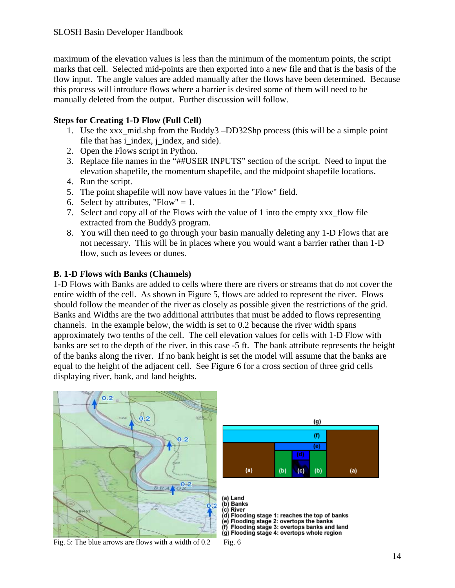#### <span id="page-13-0"></span>SLOSH Basin Developer Handbook

maximum of the elevation values is less than the minimum of the momentum points, the script marks that cell. Selected mid-points are then exported into a new file and that is the basis of the flow input. The angle values are added manually after the flows have been determined. Because this process will introduce flows where a barrier is desired some of them will need to be manually deleted from the output. Further discussion will follow.

#### **Steps for Creating 1-D Flow (Full Cell)**

- 1. Use the xxx\_mid.shp from the Buddy3 –DD32Shp process (this will be a simple point file that has i index, j index, and side).
- 2. Open the Flows script in Python.
- 3. Replace file names in the "##USER INPUTS" section of the script. Need to input the elevation shapefile, the momentum shapefile, and the midpoint shapefile locations.
- 4. Run the script.
- 5. The point shapefile will now have values in the "Flow" field.
- 6. Select by attributes, "Flow"  $= 1$ .
- 7. Select and copy all of the Flows with the value of 1 into the empty xxx\_flow file extracted from the Buddy3 program.
- 8. You will then need to go through your basin manually deleting any 1-D Flows that are not necessary. This will be in places where you would want a barrier rather than 1-D flow, such as levees or dunes.

#### **B. 1-D Flows with Banks (Channels)**

1-D Flows with Banks are added to cells where there are rivers or streams that do not cover the entire width of the cell. As shown in Figure 5, flows are added to represent the river. Flows should follow the meander of the river as closely as possible given the restrictions of the grid. Banks and Widths are the two additional attributes that must be added to flows representing channels. In the example below, the width is set to 0.2 because the river width spans approximately two tenths of the cell. The cell elevation values for cells with 1-D Flow with banks are set to the depth of the river, in this case -5 ft. The bank attribute represents the height of the banks along the river. If no bank height is set the model will assume that the banks are equal to the height of the adjacent cell. See Figure 6 for a cross section of three grid cells displaying river, bank, and land heights.

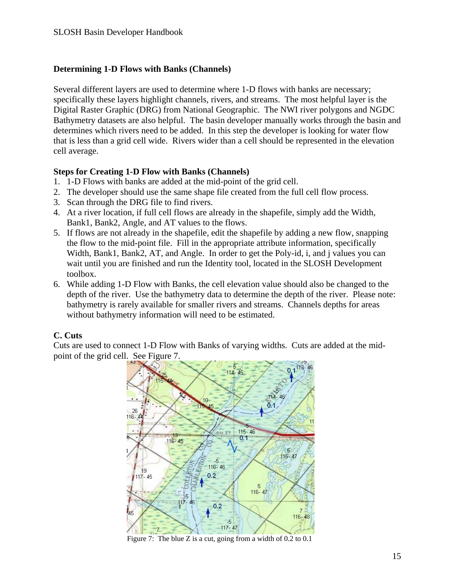#### <span id="page-14-0"></span>**Determining 1-D Flows with Banks (Channels)**

Several different layers are used to determine where 1-D flows with banks are necessary; specifically these layers highlight channels, rivers, and streams. The most helpful layer is the Digital Raster Graphic (DRG) from National Geographic. The NWI river polygons and NGDC Bathymetry datasets are also helpful. The basin developer manually works through the basin and determines which rivers need to be added. In this step the developer is looking for water flow that is less than a grid cell wide. Rivers wider than a cell should be represented in the elevation cell average.

#### **Steps for Creating 1-D Flow with Banks (Channels)**

- 1. 1-D Flows with banks are added at the mid-point of the grid cell.
- 2. The developer should use the same shape file created from the full cell flow process.
- 3. Scan through the DRG file to find rivers.
- 4. At a river location, if full cell flows are already in the shapefile, simply add the Width, Bank1, Bank2, Angle, and AT values to the flows.
- 5. If flows are not already in the shapefile, edit the shapefile by adding a new flow, snapping the flow to the mid-point file. Fill in the appropriate attribute information, specifically Width, Bank1, Bank2, AT, and Angle. In order to get the Poly-id, i, and j values you can wait until you are finished and run the Identity tool, located in the SLOSH Development toolbox.
- 6. While adding 1-D Flow with Banks, the cell elevation value should also be changed to the depth of the river. Use the bathymetry data to determine the depth of the river. Please note: bathymetry is rarely available for smaller rivers and streams. Channels depths for areas without bathymetry information will need to be estimated.

# **C. Cuts**

Cuts are used to connect 1-D Flow with Banks of varying widths. Cuts are added at the midpoint of the grid cell. See Figure 7.



Figure 7: The blue Z is a cut, going from a width of 0.2 to 0.1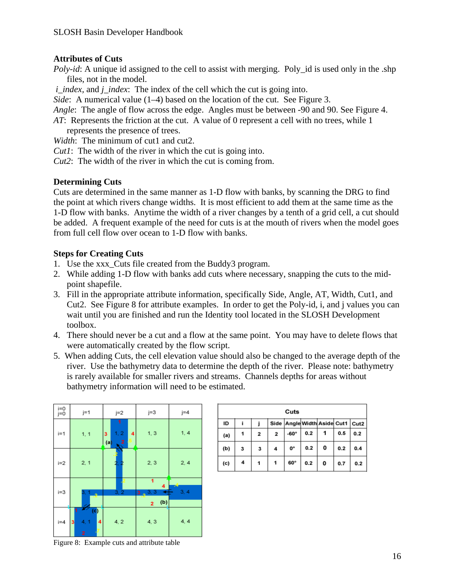#### **Attributes of Cuts**

*Poly-id*: A unique id assigned to the cell to assist with merging. Poly\_id is used only in the .shp files, not in the model.

*i* index, and *j* index: The index of the cell which the cut is going into.

*Side*: A numerical value (1–4) based on the location of the cut. See Figure 3.

*Angle*: The angle of flow across the edge. Angles must be between -90 and 90. See Figure 4.

- *AT*: Represents the friction at the cut. A value of 0 represent a cell with no trees, while 1 represents the presence of trees.
- *Width*: The minimum of cut1 and cut2.
- *Cut1*: The width of the river in which the cut is going into.
- *Cut2*: The width of the river in which the cut is coming from.

#### **Determining Cuts**

Cuts are determined in the same manner as 1-D flow with banks, by scanning the DRG to find the point at which rivers change widths. It is most efficient to add them at the same time as the 1-D flow with banks. Anytime the width of a river changes by a tenth of a grid cell, a cut should be added. A frequent example of the need for cuts is at the mouth of rivers when the model goes from full cell flow over ocean to 1-D flow with banks.

#### **Steps for Creating Cuts**

- 1. Use the xxx\_Cuts file created from the Buddy3 program.
- 2. While adding 1-D flow with banks add cuts where necessary, snapping the cuts to the midpoint shapefile.
- 3. Fill in the appropriate attribute information, specifically Side, Angle, AT, Width, Cut1, and Cut2. See Figure 8 for attribute examples. In order to get the Poly-id, i, and j values you can wait until you are finished and run the Identity tool located in the SLOSH Development toolbox.
- 4. There should never be a cut and a flow at the same point. You may have to delete flows that were automatically created by the flow script.
- 5. When adding Cuts, the cell elevation value should also be changed to the average depth of the river. Use the bathymetry data to determine the depth of the river. Please note: bathymetry is rarely available for smaller rivers and streams. Channels depths for areas without bathymetry information will need to be estimated.



| Cuts |   |              |                         |                                  |     |   |     |     |  |
|------|---|--------------|-------------------------|----------------------------------|-----|---|-----|-----|--|
| ID   |   |              |                         | Side Angle Width Aside Cut1 Cut2 |     |   |     |     |  |
| (a)  |   | $\mathbf{z}$ | $\overline{\mathbf{2}}$ | $-60^\circ$                      | 0.2 |   | 0.5 | 0.2 |  |
| (b)  | 3 | 3            | 4                       | О°                               | 0.2 | 0 | 0.2 | 0.4 |  |
| (c)  | 4 | 1            | 1                       | 60°                              | 0.2 | 0 | 0.7 | 0.2 |  |

Figure 8: Example cuts and attribute table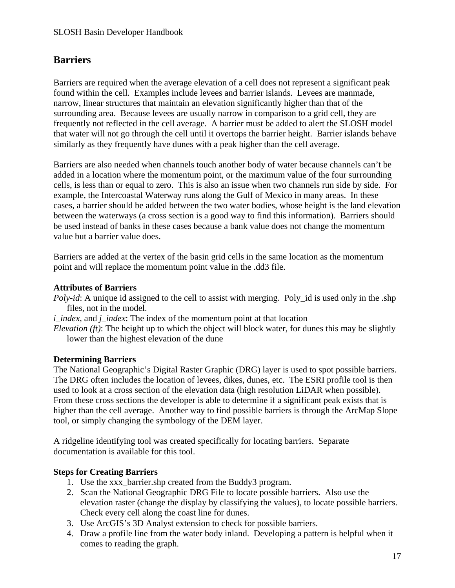# <span id="page-16-0"></span>**Barriers**

Barriers are required when the average elevation of a cell does not represent a significant peak found within the cell. Examples include levees and barrier islands. Levees are manmade, narrow, linear structures that maintain an elevation significantly higher than that of the surrounding area. Because levees are usually narrow in comparison to a grid cell, they are frequently not reflected in the cell average. A barrier must be added to alert the SLOSH model that water will not go through the cell until it overtops the barrier height. Barrier islands behave similarly as they frequently have dunes with a peak higher than the cell average.

Barriers are also needed when channels touch another body of water because channels can't be added in a location where the momentum point, or the maximum value of the four surrounding cells, is less than or equal to zero. This is also an issue when two channels run side by side. For example, the Intercoastal Waterway runs along the Gulf of Mexico in many areas. In these cases, a barrier should be added between the two water bodies, whose height is the land elevation between the waterways (a cross section is a good way to find this information). Barriers should be used instead of banks in these cases because a bank value does not change the momentum value but a barrier value does.

Barriers are added at the vertex of the basin grid cells in the same location as the momentum point and will replace the momentum point value in the .dd3 file.

#### **Attributes of Barriers**

*Poly-id*: A unique id assigned to the cell to assist with merging. Poly\_id is used only in the .shp files, not in the model.

*i\_index,* and *j\_index*: The index of the momentum point at that location

*Elevation (ft)*: The height up to which the object will block water, for dunes this may be slightly lower than the highest elevation of the dune

#### **Determining Barriers**

The National Geographic's Digital Raster Graphic (DRG) layer is used to spot possible barriers. The DRG often includes the location of levees, dikes, dunes, etc. The ESRI profile tool is then used to look at a cross section of the elevation data (high resolution LiDAR when possible). From these cross sections the developer is able to determine if a significant peak exists that is higher than the cell average. Another way to find possible barriers is through the ArcMap Slope tool, or simply changing the symbology of the DEM layer.

A ridgeline identifying tool was created specifically for locating barriers. Separate documentation is available for this tool.

#### **Steps for Creating Barriers**

- 1. Use the xxx\_barrier.shp created from the Buddy3 program.
- 2. Scan the National Geographic DRG File to locate possible barriers. Also use the elevation raster (change the display by classifying the values), to locate possible barriers. Check every cell along the coast line for dunes.
- 3. Use ArcGIS's 3D Analyst extension to check for possible barriers.
- 4. Draw a profile line from the water body inland. Developing a pattern is helpful when it comes to reading the graph.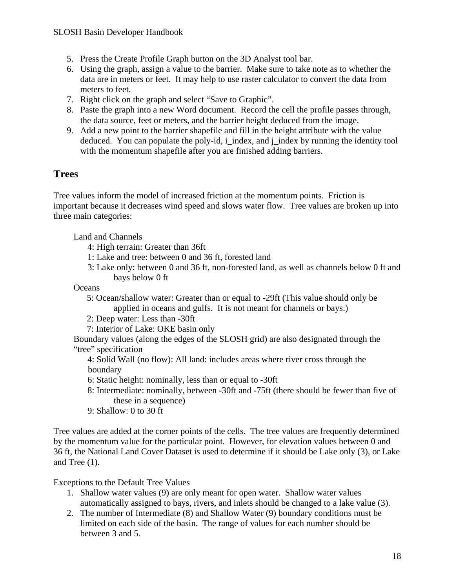- <span id="page-17-0"></span>5. Press the Create Profile Graph button on the 3D Analyst tool bar.
- 6. Using the graph, assign a value to the barrier. Make sure to take note as to whether the data are in meters or feet. It may help to use raster calculator to convert the data from meters to feet.
- 7. Right click on the graph and select "Save to Graphic".
- 8. Paste the graph into a new Word document. Record the cell the profile passes through, the data source, feet or meters, and the barrier height deduced from the image.
- 9. Add a new point to the barrier shapefile and fill in the height attribute with the value deduced. You can populate the poly-id, i\_index, and j\_index by running the identity tool with the momentum shapefile after you are finished adding barriers.

## **Trees**

Tree values inform the model of increased friction at the momentum points. Friction is important because it decreases wind speed and slows water flow. Tree values are broken up into three main categories:

Land and Channels

- 4: High terrain: Greater than 36ft
- 1: Lake and tree: between 0 and 36 ft, forested land
- 3: Lake only: between 0 and 36 ft, non-forested land, as well as channels below 0 ft and bays below 0 ft

**Oceans** 

- 5: Ocean/shallow water: Greater than or equal to -29ft (This value should only be applied in oceans and gulfs. It is not meant for channels or bays.)
- 2: Deep water: Less than -30ft
- 7: Interior of Lake: OKE basin only

Boundary values (along the edges of the SLOSH grid) are also designated through the "tree" specification

- 4: Solid Wall (no flow): All land: includes areas where river cross through the boundary
- 6: Static height: nominally, less than or equal to -30ft
- 8: Intermediate: nominally, between -30ft and -75ft (there should be fewer than five of these in a sequence)
- 9: Shallow: 0 to 30 ft

Tree values are added at the corner points of the cells. The tree values are frequently determined by the momentum value for the particular point. However, for elevation values between 0 and 36 ft, the National Land Cover Dataset is used to determine if it should be Lake only (3), or Lake and Tree (1).

Exceptions to the Default Tree Values

- 1. Shallow water values (9) are only meant for open water. Shallow water values automatically assigned to bays, rivers, and inlets should be changed to a lake value (3).
- 2. The number of Intermediate (8) and Shallow Water (9) boundary conditions must be limited on each side of the basin. The range of values for each number should be between 3 and 5.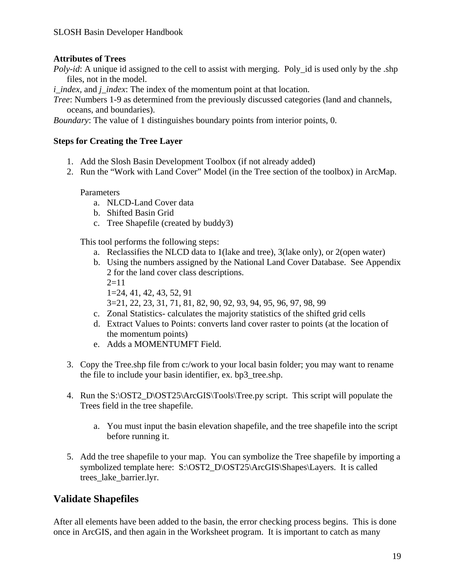#### <span id="page-18-0"></span>**Attributes of Trees**

*Poly-id*: A unique id assigned to the cell to assist with merging. Poly\_id is used only by the .shp files, not in the model.

*i* index, and *j* index: The index of the momentum point at that location.

*Tree*: Numbers 1-9 as determined from the previously discussed categories (land and channels, oceans, and boundaries).

*Boundary*: The value of 1 distinguishes boundary points from interior points, 0.

#### **Steps for Creating the Tree Layer**

- 1. Add the Slosh Basin Development Toolbox (if not already added)
- 2. Run the "Work with Land Cover" Model (in the Tree section of the toolbox) in ArcMap.

**Parameters** 

- a. NLCD-Land Cover data
- b. Shifted Basin Grid
- c. Tree Shapefile (created by buddy3)

This tool performs the following steps:

- a. Reclassifies the NLCD data to 1(lake and tree), 3(lake only), or 2(open water)
- b. Using the numbers assigned by the National Land Cover Database. See Appendix 2 for the land cover class descriptions.  $2=11$ 
	- 1=24, 41, 42, 43, 52, 91
	- 3=21, 22, 23, 31, 71, 81, 82, 90, 92, 93, 94, 95, 96, 97, 98, 99
- c. Zonal Statistics- calculates the majority statistics of the shifted grid cells
- d. Extract Values to Points: converts land cover raster to points (at the location of the momentum points)
- e. Adds a MOMENTUMFT Field.
- 3. Copy the Tree.shp file from c:/work to your local basin folder; you may want to rename the file to include your basin identifier, ex. bp3\_tree.shp.
- 4. Run the S:\OST2\_D\OST25\ArcGIS\Tools\Tree.py script. This script will populate the Trees field in the tree shapefile.
	- a. You must input the basin elevation shapefile, and the tree shapefile into the script before running it.
- 5. Add the tree shapefile to your map. You can symbolize the Tree shapefile by importing a symbolized template here: S:\OST2\_D\OST25\ArcGIS\Shapes\Layers. It is called trees\_lake\_barrier.lyr.

# **Validate Shapefiles**

After all elements have been added to the basin, the error checking process begins. This is done once in ArcGIS, and then again in the Worksheet program. It is important to catch as many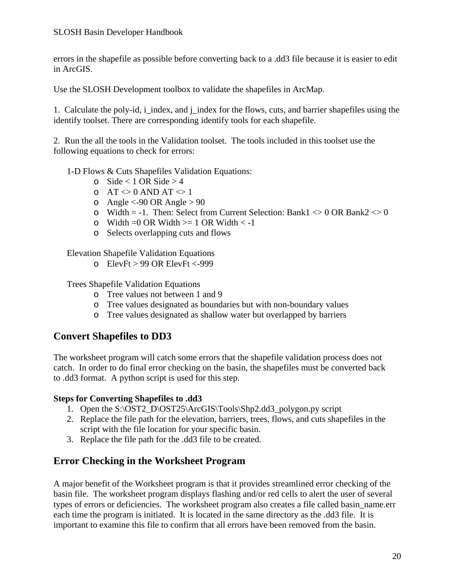#### <span id="page-19-0"></span>SLOSH Basin Developer Handbook

errors in the shapefile as possible before converting back to a .dd3 file because it is easier to edit in ArcGIS.

Use the SLOSH Development toolbox to validate the shapefiles in ArcMap.

1. Calculate the poly-id, i\_index, and j\_index for the flows, cuts, and barrier shapefiles using the identify toolset. There are corresponding identify tools for each shapefile.

2. Run the all the tools in the Validation toolset. The tools included in this toolset use the following equations to check for errors:

- 1-D Flows & Cuts Shapefiles Validation Equations:
	- $\circ$  Side < 1 OR Side > 4
	- $\circ$  AT  $\leq 0$  AND AT  $\leq 1$
	- $\circ$  Angle <-90 OR Angle > 90
	- o Width = -1. Then: Select from Current Selection: Bank1  $\leq 0$  OR Bank2  $\leq 0$
	- $\circ$  Width = 0 OR Width  $\ge$  1 OR Width  $\lt$  -1
	- o Selects overlapping cuts and flows

Elevation Shapefile Validation Equations

o ElevFt > 99 OR ElevFt <-999

Trees Shapefile Validation Equations

- o Tree values not between 1 and 9
- o Tree values designated as boundaries but with non-boundary values
- o Tree values designated as shallow water but overlapped by barriers

#### **Convert Shapefiles to DD3**

The worksheet program will catch some errors that the shapefile validation process does not catch. In order to do final error checking on the basin, the shapefiles must be converted back to .dd3 format. A python script is used for this step.

#### **Steps for Converting Shapefiles to .dd3**

- 1. Open the S:\OST2\_D\OST25\ArcGIS\Tools\Shp2.dd3\_polygon.py script
- 2. Replace the file path for the elevation, barriers, trees, flows, and cuts shapefiles in the script with the file location for your specific basin.
- 3. Replace the file path for the .dd3 file to be created.

#### **Error Checking in the Worksheet Program**

A major benefit of the Worksheet program is that it provides streamlined error checking of the basin file. The worksheet program displays flashing and/or red cells to alert the user of several types of errors or deficiencies. The worksheet program also creates a file called basin\_name.err each time the program is initiated. It is located in the same directory as the .dd3 file. It is important to examine this file to confirm that all errors have been removed from the basin.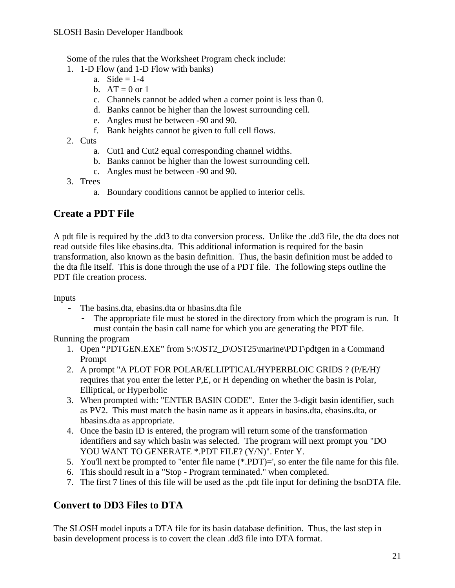<span id="page-20-0"></span>Some of the rules that the Worksheet Program check include:

- 1. 1-D Flow (and 1-D Flow with banks)
	- a. Side  $= 1-4$
	- b.  $AT = 0$  or 1
	- c. Channels cannot be added when a corner point is less than 0.
	- d. Banks cannot be higher than the lowest surrounding cell.
	- e. Angles must be between -90 and 90.
	- f. Bank heights cannot be given to full cell flows.
- 2. Cuts
	- a. Cut1 and Cut2 equal corresponding channel widths.
	- b. Banks cannot be higher than the lowest surrounding cell.
	- c. Angles must be between -90 and 90.
- 3. Trees
	- a. Boundary conditions cannot be applied to interior cells.

# **Create a PDT File**

A pdt file is required by the .dd3 to dta conversion process. Unlike the .dd3 file, the dta does not read outside files like ebasins.dta. This additional information is required for the basin transformation, also known as the basin definition. Thus, the basin definition must be added to the dta file itself. This is done through the use of a PDT file. The following steps outline the PDT file creation process.

#### Inputs

- The basins.dta, ebasins.dta or hbasins.dta file
	- The appropriate file must be stored in the directory from which the program is run. It must contain the basin call name for which you are generating the PDT file.

#### Running the program

- 1. Open "PDTGEN.EXE" from S:\OST2\_D\OST25\marine\PDT\pdtgen in a Command Prompt
- 2. A prompt "A PLOT FOR POLAR/ELLIPTICAL/HYPERBLOIC GRIDS ? (P/E/H)' requires that you enter the letter P,E, or H depending on whether the basin is Polar, Elliptical, or Hyperbolic
- 3. When prompted with: "ENTER BASIN CODE". Enter the 3-digit basin identifier, such as PV2. This must match the basin name as it appears in basins.dta, ebasins.dta, or hbasins.dta as appropriate.
- 4. Once the basin ID is entered, the program will return some of the transformation identifiers and say which basin was selected. The program will next prompt you "DO YOU WANT TO GENERATE \*.PDT FILE? (Y/N)". Enter Y.
- 5. You'll next be prompted to "enter file name (\*.PDT)=', so enter the file name for this file.
- 6. This should result in a "Stop Program terminated." when completed.
- 7. The first 7 lines of this file will be used as the .pdt file input for defining the bsnDTA file.

# **Convert to DD3 Files to DTA**

The SLOSH model inputs a DTA file for its basin database definition. Thus, the last step in basin development process is to covert the clean .dd3 file into DTA format.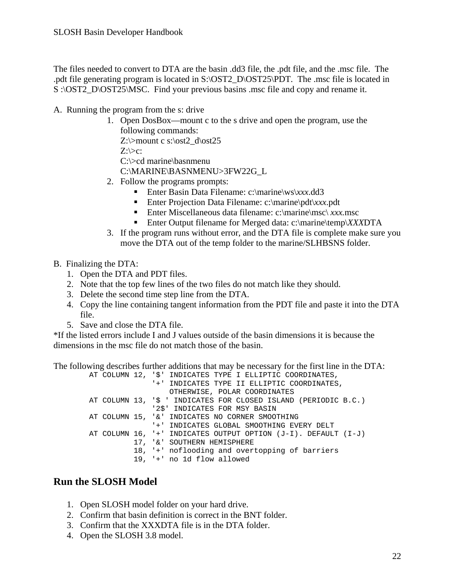<span id="page-21-0"></span>The files needed to convert to DTA are the basin .dd3 file, the .pdt file, and the .msc file. The .pdt file generating program is located in S:\OST2\_D\OST25\PDT. The .msc file is located in S :\OST2\_D\OST25\MSC. Find your previous basins .msc file and copy and rename it.

- A. Running the program from the s: drive
	- 1. Open DosBox—mount c to the s drive and open the program, use the following commands: Z: $\>$ mount c s: $\ost2 \ d\ost25$  $Z:\succight>c$ : C:\>cd marine\basnmenu C:\MARINE\BASNMENU>3FW22G\_L
	- 2. Follow the programs prompts:
		- Enter Basin Data Filename: c:\marine\ws\xxx.dd3
		- Enter Projection Data Filename: c:\marine\pdt\*xxx*.pdt
		- Enter Miscellaneous data filename: c:\marine\msc\ *xxx*.msc
		- Enter Output filename for Merged data: c:\marine\temp\*XXX*DTA
	- 3. If the program runs without error, and the DTA file is complete make sure you move the DTA out of the temp folder to the marine/SLHBSNS folder.
- B. Finalizing the DTA:
	- 1. Open the DTA and PDT files.
	- 2. Note that the top few lines of the two files do not match like they should.
	- 3. Delete the second time step line from the DTA.
	- 4. Copy the line containing tangent information from the PDT file and paste it into the DTA file.
	- 5. Save and close the DTA file.

\*If the listed errors include I and J values outside of the basin dimensions it is because the dimensions in the msc file do not match those of the basin.

The following describes further additions that may be necessary for the first line in the DTA:

 AT COLUMN 12, '\$' INDICATES TYPE I ELLIPTIC COORDINATES, '+' INDICATES TYPE II ELLIPTIC COORDINATES, OTHERWISE, POLAR COORDINATES AT COLUMN 13, '\$ ' INDICATES FOR CLOSED ISLAND (PERIODIC B.C.) '2\$' INDICATES FOR MSY BASIN AT COLUMN 15, '&' INDICATES NO CORNER SMOOTHING '+' INDICATES GLOBAL SMOOTHING EVERY DELT AT COLUMN 16, '+' INDICATES OUTPUT OPTION (J-I). DEFAULT (I-J) 17, '&' SOUTHERN HEMISPHERE 18, '+' noflooding and overtopping of barriers 19, '+' no 1d flow allowed

# **Run the SLOSH Model**

- 1. Open SLOSH model folder on your hard drive.
- 2. Confirm that basin definition is correct in the BNT folder.
- 3. Confirm that the XXXDTA file is in the DTA folder.
- 4. Open the SLOSH 3.8 model.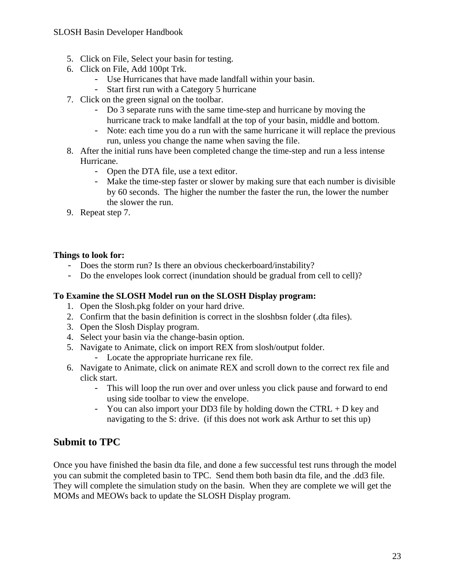#### SLOSH Basin Developer Handbook

- 5. Click on File, Select your basin for testing.
- 6. Click on File, Add 100pt Trk.
	- Use Hurricanes that have made landfall within your basin.
	- Start first run with a Category 5 hurricane
- 7. Click on the green signal on the toolbar.
	- Do 3 separate runs with the same time-step and hurricane by moving the hurricane track to make landfall at the top of your basin, middle and bottom.
	- Note: each time you do a run with the same hurricane it will replace the previous run, unless you change the name when saving the file.
- 8. After the initial runs have been completed change the time-step and run a less intense Hurricane.
	- Open the DTA file, use a text editor.
	- Make the time-step faster or slower by making sure that each number is divisible by 60 seconds. The higher the number the faster the run, the lower the number the slower the run.
- 9. Repeat step 7.

#### **Things to look for:**

- Does the storm run? Is there an obvious checkerboard/instability?
- Do the envelopes look correct (inundation should be gradual from cell to cell)?

#### **To Examine the SLOSH Model run on the SLOSH Display program:**

- 1. Open the Slosh.pkg folder on your hard drive.
- 2. Confirm that the basin definition is correct in the sloshbsn folder (.dta files).
- 3. Open the Slosh Display program.
- 4. Select your basin via the change-basin option.
- 5. Navigate to Animate, click on import REX from slosh/output folder.
	- Locate the appropriate hurricane rex file.
- 6. Navigate to Animate, click on animate REX and scroll down to the correct rex file and click start.
	- This will loop the run over and over unless you click pause and forward to end using side toolbar to view the envelope.
	- You can also import your DD3 file by holding down the CTRL  $+$  D key and navigating to the S: drive. (if this does not work ask Arthur to set this up)

# **Submit to TPC**

Once you have finished the basin dta file, and done a few successful test runs through the model you can submit the completed basin to TPC. Send them both basin dta file, and the .dd3 file. They will complete the simulation study on the basin. When they are complete we will get the MOMs and MEOWs back to update the SLOSH Display program.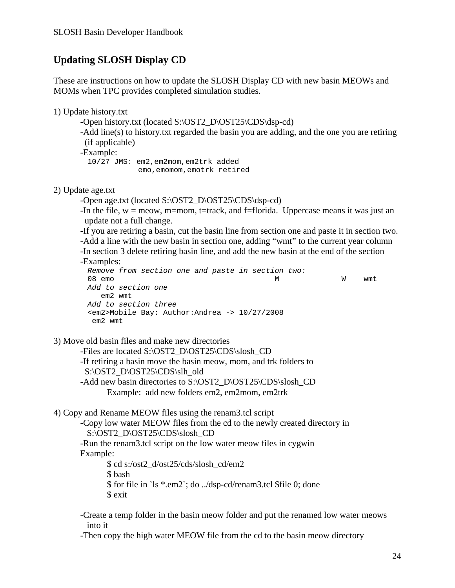# **Updating SLOSH Display CD**

These are instructions on how to update the SLOSH Display CD with new basin MEOWs and MOMs when TPC provides completed simulation studies.

1) Update history.txt

-Open history.txt (located S:\OST2\_D\OST25\CDS\dsp-cd)

 -Add line(s) to history.txt regarded the basin you are adding, and the one you are retiring (if applicable)

-Example:

 10/27 JMS: em2,em2mom,em2trk added emo,emomom,emotrk retired

2) Update age.txt

-Open age.txt (located S:\OST2\_D\OST25\CDS\dsp-cd)

-In the file,  $w = m$ eow, m=mom, t=track, and f=florida. Uppercase means it was just an update not a full change.

 -If you are retiring a basin, cut the basin line from section one and paste it in section two. -Add a line with the new basin in section one, adding "wmt" to the current year column

-In section 3 delete retiring basin line, and add the new basin at the end of the section

-Examples:

*Remove from section one and paste in section two:*  08 emo M W wmt *Add to section one*  em2 wmt *Add to section three*  <em2>Mobile Bay: Author:Andrea -> 10/27/2008 em2 wmt

3) Move old basin files and make new directories

 -Files are located S:\OST2\_D\OST25\CDS\slosh\_CD -If retiring a basin move the basin meow, mom, and trk folders to S:\OST2\_D\OST25\CDS\slh\_old -Add new basin directories to S:\OST2\_D\OST25\CDS\slosh\_CD Example: add new folders em2, em2mom, em2trk

4) Copy and Rename MEOW files using the renam3.tcl script

 -Copy low water MEOW files from the cd to the newly created directory in S:\OST2\_D\OST25\CDS\slosh\_CD

 -Run the renam3.tcl script on the low water meow files in cygwin Example:

> \$ cd s:/ost2\_d/ost25/cds/slosh\_cd/em2 \$ bash \$ for file in `ls \*.em2`; do ../dsp-cd/renam3.tcl \$file 0; done \$ exit

 -Create a temp folder in the basin meow folder and put the renamed low water meows into it

-Then copy the high water MEOW file from the cd to the basin meow directory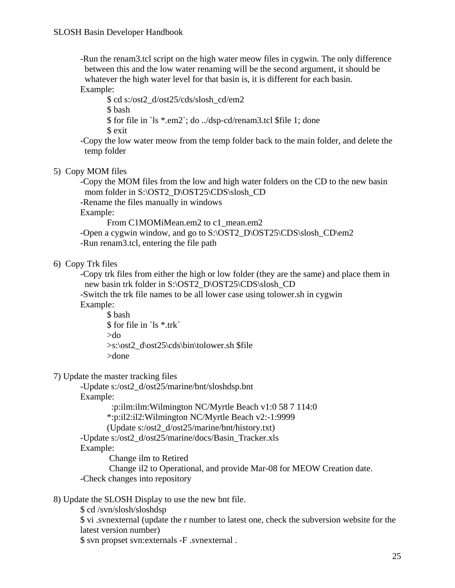-Run the renam3.tcl script on the high water meow files in cygwin. The only difference between this and the low water renaming will be the second argument, it should be whatever the high water level for that basin is, it is different for each basin. Example:

 \$ cd s:/ost2\_d/ost25/cds/slosh\_cd/em2 \$ bash \$ for file in `ls \*.em2`; do ../dsp-cd/renam3.tcl \$file 1; done \$ exit

 -Copy the low water meow from the temp folder back to the main folder, and delete the temp folder

#### 5) Copy MOM files

 -Copy the MOM files from the low and high water folders on the CD to the new basin mom folder in S:\OST2\_D\OST25\CDS\slosh\_CD

-Rename the files manually in windows

Example:

From C1MOMiMean.em2 to c1\_mean.em2

-Open a cygwin window, and go to S:\OST2\_D\OST25\CDS\slosh\_CD\em2 -Run renam3.tcl, entering the file path

6) Copy Trk files

 -Copy trk files from either the high or low folder (they are the same) and place them in new basin trk folder in S:\OST2\_D\OST25\CDS\slosh\_CD -Switch the trk file names to be all lower case using tolower.sh in cygwin

Example:

 \$ bash \$ for file in `ls \*.trk` >do >s:\ost2\_d\ost25\cds\bin\tolower.sh \$file >done

#### 7) Update the master tracking files

 -Update s:/ost2\_d/ost25/marine/bnt/sloshdsp.bnt Example: :p:ilm:ilm:Wilmington NC/Myrtle Beach v1:0 58 7 114:0 \*:p:il2:il2:Wilmington NC/Myrtle Beach v2:-1:9999 (Update s:/ost2\_d/ost25/marine/bnt/history.txt) -Update s:/ost2\_d/ost25/marine/docs/Basin\_Tracker.xls Example:

Change ilm to Retired

 Change il2 to Operational, and provide Mar-08 for MEOW Creation date. -Check changes into repository

8) Update the SLOSH Display to use the new bnt file.

\$ cd /svn/slosh/sloshdsp

 \$ vi .svnexternal (update the r number to latest one, check the subversion website for the latest version number)

\$ svn propset svn:externals -F .svnexternal .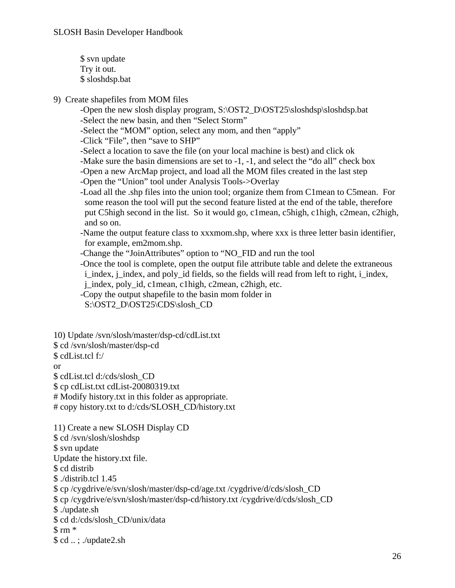\$ svn update Try it out. \$ sloshdsp.bat

- 9) Create shapefiles from MOM files
	- -Open the new slosh display program, S:\OST2\_D\OST25\sloshdsp\sloshdsp.bat -Select the new basin, and then "Select Storm"
	- -Select the "MOM" option, select any mom, and then "apply"

-Click "File", then "save to SHP"

- -Select a location to save the file (on your local machine is best) and click ok
- -Make sure the basin dimensions are set to -1, -1, and select the "do all" check box
- -Open a new ArcMap project, and load all the MOM files created in the last step
- -Open the "Union" tool under Analysis Tools->Overlay
- -Load all the .shp files into the union tool; organize them from C1mean to C5mean. For some reason the tool will put the second feature listed at the end of the table, therefore put C5high second in the list. So it would go, c1mean, c5high, c1high, c2mean, c2high, and so on.
- -Name the output feature class to xxxmom.shp, where xxx is three letter basin identifier, for example, em2mom.shp.
- -Change the "JoinAttributes" option to "NO\_FID and run the tool
- -Once the tool is complete, open the output file attribute table and delete the extraneous i\_index, j\_index, and poly\_id fields, so the fields will read from left to right, i\_index, j\_index, poly\_id, c1mean, c1high, c2mean, c2high, etc.
- -Copy the output shapefile to the basin mom folder in
- S:\OST2\_D\OST25\CDS\slosh\_CD

10) Update /svn/slosh/master/dsp-cd/cdList.txt \$ cd /svn/slosh/master/dsp-cd \$ cdList.tcl f:/ or \$ cdList.tcl d:/cds/slosh\_CD \$ cp cdList.txt cdList-20080319.txt # Modify history.txt in this folder as appropriate. # copy history.txt to d:/cds/SLOSH\_CD/history.txt

11) Create a new SLOSH Display CD \$ cd /svn/slosh/sloshdsp \$ svn update Update the history.txt file. \$ cd distrib \$ ./distrib.tcl 1.45 \$ cp /cygdrive/e/svn/slosh/master/dsp-cd/age.txt /cygdrive/d/cds/slosh\_CD \$ cp /cygdrive/e/svn/slosh/master/dsp-cd/history.txt /cygdrive/d/cds/slosh\_CD \$ ./update.sh \$ cd d:/cds/slosh\_CD/unix/data  $$rm$  \* \$ cd .. ; ./update2.sh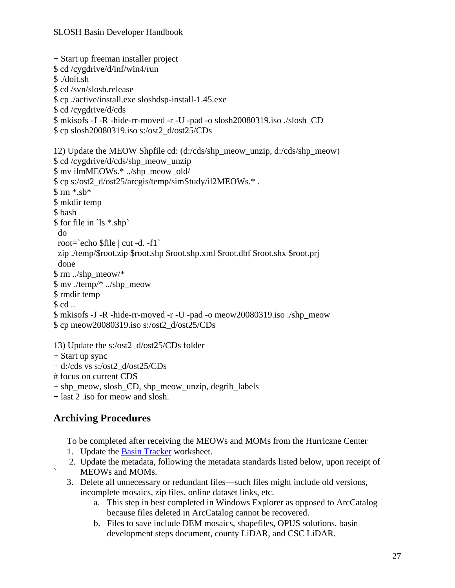```
+ Start up freeman installer project 
$ cd /cygdrive/d/inf/win4/run 
$ ./doit.sh 
$ cd /svn/slosh.release 
$ cp ./active/install.exe sloshdsp-install-1.45.exe 
$ cd /cygdrive/d/cds 
$ mkisofs -J -R -hide-rr-moved -r -U -pad -o slosh20080319.iso ./slosh_CD 
$ cp slosh20080319.iso s:/ost2_d/ost25/CDs 
12) Update the MEOW Shpfile cd: (d:/cds/shp_meow_unzip, d:/cds/shp_meow) 
$ cd /cygdrive/d/cds/shp_meow_unzip 
$ mv ilmMEOWs.* ../shp_meow_old/ 
$ cp s:/ost2_d/ost25/arcgis/temp/simStudy/il2MEOWs.* . 
$ rm *.sb* 
$ mkdir temp 
$ bash 
$ for file in `ls *.shp` 
  do 
  root=`echo $file | cut -d. -f1` 
  zip ./temp/$root.zip $root.shp $root.shp.xml $root.dbf $root.shx $root.prj 
  done 
$ rm ../shp_meow/* 
$ mv ./temp/* ../shp_meow 
$ rmdir temp 
$ cd..
$ mkisofs -J -R -hide-rr-moved -r -U -pad -o meow20080319.iso ./shp_meow 
$ cp meow20080319.iso s:/ost2_d/ost25/CDs 
13) Update the s:/ost2_d/ost25/CDs folder
```

```
+ Start up sync
```

```
+ d:/cds vs s:/ost2_d/ost25/CDs
```

```
# focus on current CDS
```

```
+ shp_meow, slosh_CD, shp_meow_unzip, degrib_labels
```
+ last 2 .iso for meow and slosh.

# **Archiving Procedures**

To be completed after receiving the MEOWs and MOMs from the Hurricane Center

- 1. Update the Basin Tracker worksheet.
- 2. Update the metadata, following the metadata standards listed below, upon receipt of MEOWs and MOMs.
- 3. Delete all unnecessary or redundant files—such files might include old versions, incomplete mosaics, zip files, online dataset links, etc.
	- a. This step in best completed in Windows Explorer as opposed to ArcCatalog because files deleted in ArcCatalog cannot be recovered.
	- b. Files to save include DEM mosaics, shapefiles, OPUS solutions, basin development steps document, county LiDAR, and CSC LiDAR.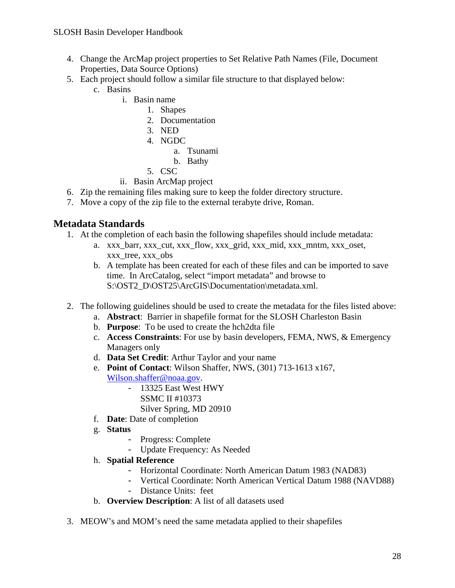#### SLOSH Basin Developer Handbook

- 4. Change the ArcMap project properties to Set Relative Path Names (File, Document Properties, Data Source Options)
- 5. Each project should follow a similar file structure to that displayed below:
	- c. Basins
		- i. Basin name
			- 1. Shapes
			- 2. Documentation
			- 3. NED
			- 4. NGDC
				- a. Tsunami
				- b. Bathy
			- 5. CSC
		- ii. Basin ArcMap project
- 6. Zip the remaining files making sure to keep the folder directory structure.
- 7. Move a copy of the zip file to the external terabyte drive, Roman.

#### **Metadata Standards**

- 1. At the completion of each basin the following shapefiles should include metadata:
	- a. xxx\_barr, xxx\_cut, xxx\_flow, xxx\_grid, xxx\_mid, xxx\_mntm, xxx\_oset, xxx tree, xxx obs
	- b. A template has been created for each of these files and can be imported to save time. In ArcCatalog, select "import metadata" and browse to S:\OST2\_D\OST25\ArcGIS\Documentation\metadata.xml.
- 2. The following guidelines should be used to create the metadata for the files listed above:
	- a. **Abstract**: Barrier in shapefile format for the SLOSH Charleston Basin
	- b. **Purpose**: To be used to create the hch2dta file
	- c. **Access Constraints**: For use by basin developers, FEMA, NWS, & Emergency Managers only
	- d. **Data Set Credit**: Arthur Taylor and your name
	- e. **Point of Contact**: Wilson Shaffer, NWS, (301) 713-1613 x167,
		- [Wilson.shaffer@noaa.gov.](mailto:Wilson.shaffer@noaa.gov)
			- 13325 East West HWY
				- SSMC II #10373
				- Silver Spring, MD 20910
	- f. **Date**: Date of completion
	- g. **Status** 
		- Progress: Complete
		- Update Frequency: As Needed
	- h. **Spatial Reference** 
		- Horizontal Coordinate: North American Datum 1983 (NAD83)
		- Vertical Coordinate: North American Vertical Datum 1988 (NAVD88)
		- Distance Units: feet
	- b. **Overview Description**: A list of all datasets used
- 3. MEOW's and MOM's need the same metadata applied to their shapefiles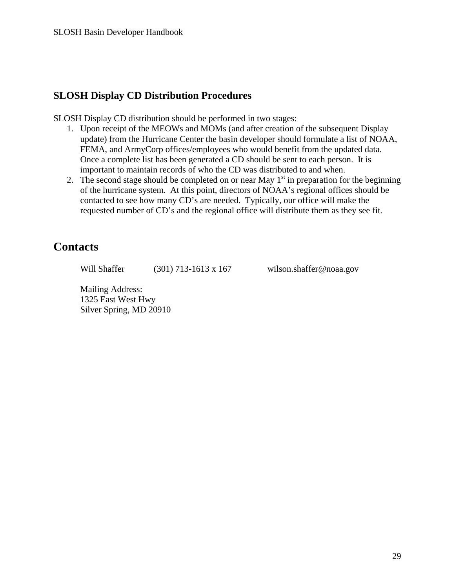## <span id="page-28-0"></span>**SLOSH Display CD Distribution Procedures**

SLOSH Display CD distribution should be performed in two stages:

- 1. Upon receipt of the MEOWs and MOMs (and after creation of the subsequent Display update) from the Hurricane Center the basin developer should formulate a list of NOAA, FEMA, and ArmyCorp offices/employees who would benefit from the updated data. Once a complete list has been generated a CD should be sent to each person. It is important to maintain records of who the CD was distributed to and when.
- 2. The second stage should be completed on or near May  $1<sup>st</sup>$  in preparation for the beginning of the hurricane system. At this point, directors of NOAA's regional offices should be contacted to see how many CD's are needed. Typically, our office will make the requested number of CD's and the regional office will distribute them as they see fit.

# **Contacts**

Will Shaffer (301) 713-1613 x 167 wilson.shaffer@noaa.gov

Mailing Address: 1325 East West Hwy Silver Spring, MD 20910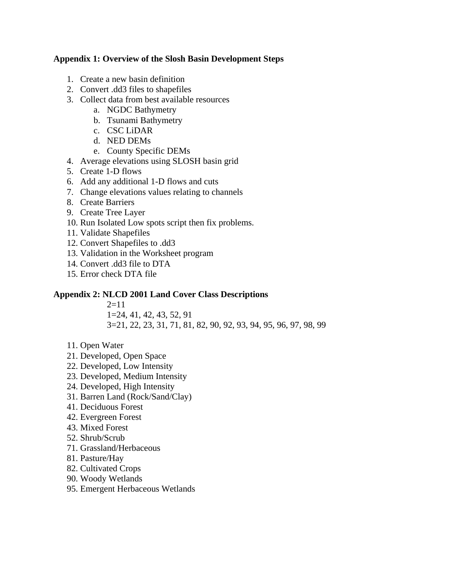#### <span id="page-29-0"></span>**Appendix 1: Overview of the Slosh Basin Development Steps**

- 1. Create a new basin definition
- 2. Convert .dd3 files to shapefiles
- 3. Collect data from best available resources
	- a. NGDC Bathymetry
	- b. Tsunami Bathymetry
	- c. CSC LiDAR
	- d. NED DEMs
	- e. County Specific DEMs
- 4. Average elevations using SLOSH basin grid
- 5. Create 1-D flows
- 6. Add any additional 1-D flows and cuts
- 7. Change elevations values relating to channels
- 8. Create Barriers
- 9. Create Tree Layer
- 10. Run Isolated Low spots script then fix problems.
- 11. Validate Shapefiles
- 12. Convert Shapefiles to .dd3
- 13. Validation in the Worksheet program
- 14. Convert .dd3 file to DTA
- 15. Error check DTA file

#### **Appendix 2: NLCD 2001 Land Cover Class Descriptions**

 $2=11$ 1=24, 41, 42, 43, 52, 91

3=21, 22, 23, 31, 71, 81, 82, 90, 92, 93, 94, 95, 96, 97, 98, 99

- 11. Open Water
- 21. Developed, Open Space
- 22. Developed, Low Intensity
- 23. Developed, Medium Intensity
- 24. Developed, High Intensity
- 31. Barren Land (Rock/Sand/Clay)
- 41. Deciduous Forest
- 42. Evergreen Forest
- 43. Mixed Forest
- 52. Shrub/Scrub
- 71. Grassland/Herbaceous
- 81. Pasture/Hay
- 82. Cultivated Crops
- 90. Woody Wetlands
- 95. Emergent Herbaceous Wetlands